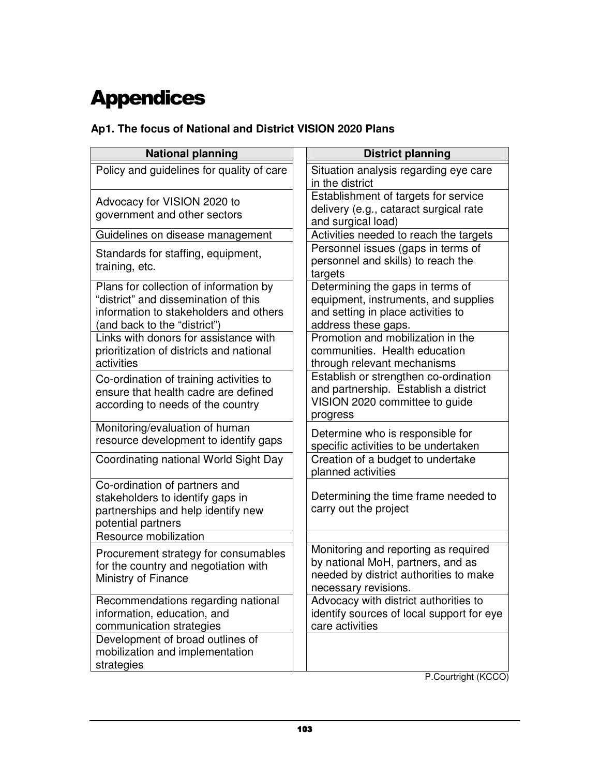# **Appendices**

# **Ap1. The focus of National and District VISION 2020 Plans**

| <b>National planning</b>                                                                                                                                 | <b>District planning</b>                                                                                                                    |
|----------------------------------------------------------------------------------------------------------------------------------------------------------|---------------------------------------------------------------------------------------------------------------------------------------------|
| Policy and guidelines for quality of care                                                                                                                | Situation analysis regarding eye care<br>in the district                                                                                    |
| Advocacy for VISION 2020 to<br>government and other sectors                                                                                              | Establishment of targets for service<br>delivery (e.g., cataract surgical rate<br>and surgical load)                                        |
| Guidelines on disease management                                                                                                                         | Activities needed to reach the targets                                                                                                      |
| Standards for staffing, equipment,<br>training, etc.                                                                                                     | Personnel issues (gaps in terms of<br>personnel and skills) to reach the<br>targets                                                         |
| Plans for collection of information by<br>"district" and dissemination of this<br>information to stakeholders and others<br>(and back to the "district") | Determining the gaps in terms of<br>equipment, instruments, and supplies<br>and setting in place activities to<br>address these gaps.       |
| Links with donors for assistance with<br>prioritization of districts and national<br>activities                                                          | Promotion and mobilization in the<br>communities. Health education<br>through relevant mechanisms                                           |
| Co-ordination of training activities to<br>ensure that health cadre are defined<br>according to needs of the country                                     | Establish or strengthen co-ordination<br>and partnership. Establish a district<br>VISION 2020 committee to guide<br>progress                |
| Monitoring/evaluation of human<br>resource development to identify gaps                                                                                  | Determine who is responsible for<br>specific activities to be undertaken                                                                    |
| Coordinating national World Sight Day                                                                                                                    | Creation of a budget to undertake<br>planned activities                                                                                     |
| Co-ordination of partners and<br>stakeholders to identify gaps in<br>partnerships and help identify new<br>potential partners                            | Determining the time frame needed to<br>carry out the project                                                                               |
| Resource mobilization                                                                                                                                    |                                                                                                                                             |
| Procurement strategy for consumables<br>for the country and negotiation with<br>Ministry of Finance                                                      | Monitoring and reporting as required<br>by national MoH, partners, and as<br>needed by district authorities to make<br>necessary revisions. |
| Recommendations regarding national<br>information, education, and<br>communication strategies                                                            | Advocacy with district authorities to<br>identify sources of local support for eye<br>care activities                                       |
| Development of broad outlines of<br>mobilization and implementation<br>strategies                                                                        |                                                                                                                                             |

P.Courtright (KCCO)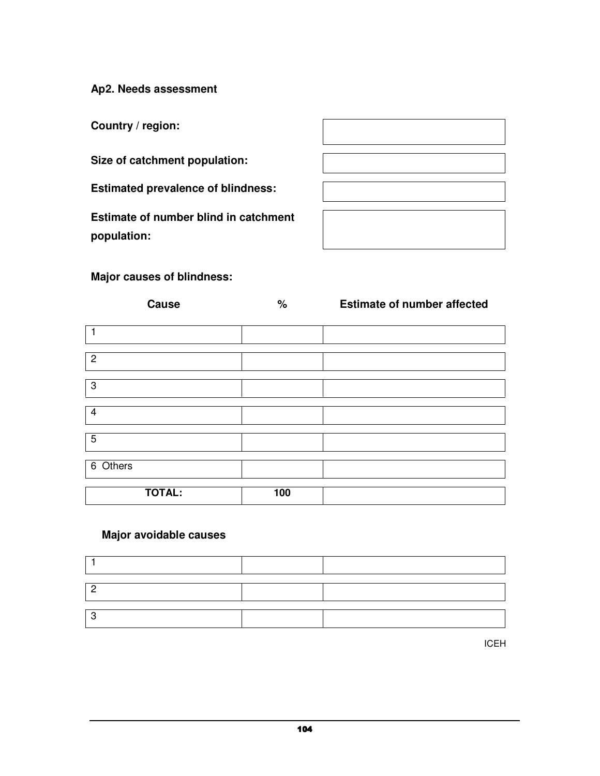**Ap2. Needs assessment** 

**Country / region:** 

**Size of catchment population:** 

**Estimated prevalence of blindness:** 

**Estimate of number blind in catchment population:** 



# **Major causes of blindness:**

| <b>Cause</b>  | $\%$ | <b>Estimate of number affected</b> |
|---------------|------|------------------------------------|
| 1             |      |                                    |
| $\mathbf{2}$  |      |                                    |
| $\mathbf 3$   |      |                                    |
| 4             |      |                                    |
| 5             |      |                                    |
| $6$ Others    |      |                                    |
| <b>TOTAL:</b> | 100  |                                    |

# **Major avoidable causes**

ICEH (1986) A START START START START START START START START START START START START START START START START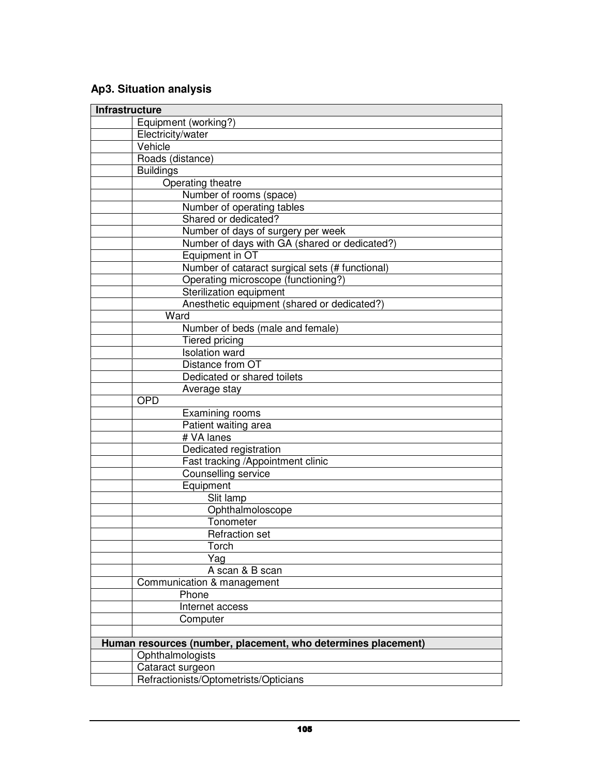# **Ap3. Situation analysis**

| <b>Infrastructure</b> |                                                               |
|-----------------------|---------------------------------------------------------------|
|                       | Equipment (working?)                                          |
|                       | Electricity/water                                             |
|                       | Vehicle                                                       |
|                       | Roads (distance)                                              |
|                       | <b>Buildings</b>                                              |
|                       | Operating theatre                                             |
|                       | Number of rooms (space)                                       |
|                       | Number of operating tables                                    |
|                       | Shared or dedicated?                                          |
|                       | Number of days of surgery per week                            |
|                       | Number of days with GA (shared or dedicated?)                 |
|                       | Equipment in OT                                               |
|                       | Number of cataract surgical sets (# functional)               |
|                       | Operating microscope (functioning?)                           |
|                       | Sterilization equipment                                       |
|                       | Anesthetic equipment (shared or dedicated?)                   |
|                       | Ward                                                          |
|                       | Number of beds (male and female)                              |
|                       | Tiered pricing                                                |
|                       | <b>Isolation</b> ward                                         |
|                       | Distance from OT                                              |
|                       | Dedicated or shared toilets                                   |
|                       | Average stay                                                  |
|                       | <b>OPD</b>                                                    |
|                       | Examining rooms                                               |
|                       | Patient waiting area                                          |
|                       | # VA lanes                                                    |
|                       | Dedicated registration                                        |
|                       | Fast tracking /Appointment clinic                             |
|                       | Counselling service                                           |
|                       | Equipment                                                     |
|                       | Slit lamp                                                     |
|                       | Ophthalmoloscope<br>Tonometer                                 |
|                       | <b>Refraction set</b>                                         |
|                       | Torch                                                         |
|                       | Yag                                                           |
|                       | A scan & B scan                                               |
|                       | Communication & management                                    |
|                       | Phone                                                         |
|                       | Internet access                                               |
|                       | Computer                                                      |
|                       |                                                               |
|                       | Human resources (number, placement, who determines placement) |
|                       | Ophthalmologists                                              |
|                       | Cataract surgeon                                              |
|                       | Refractionists/Optometrists/Opticians                         |
|                       |                                                               |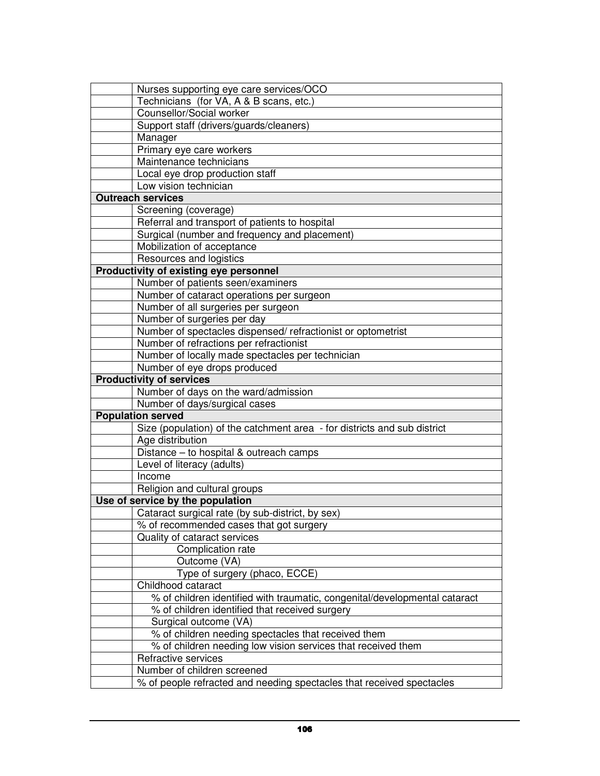| Nurses supporting eye care services/OCO                                    |
|----------------------------------------------------------------------------|
| Technicians (for VA, A & B scans, etc.)                                    |
| Counsellor/Social worker                                                   |
| Support staff (drivers/guards/cleaners)                                    |
| Manager                                                                    |
| Primary eye care workers                                                   |
| Maintenance technicians                                                    |
| Local eye drop production staff                                            |
| Low vision technician                                                      |
| <b>Outreach services</b>                                                   |
| Screening (coverage)                                                       |
| Referral and transport of patients to hospital                             |
| Surgical (number and frequency and placement)                              |
| Mobilization of acceptance                                                 |
| Resources and logistics                                                    |
| Productivity of existing eye personnel                                     |
| Number of patients seen/examiners                                          |
| Number of cataract operations per surgeon                                  |
| Number of all surgeries per surgeon                                        |
| Number of surgeries per day                                                |
| Number of spectacles dispensed/refractionist or optometrist                |
| Number of refractions per refractionist                                    |
| Number of locally made spectacles per technician                           |
| Number of eye drops produced                                               |
| <b>Productivity of services</b>                                            |
| Number of days on the ward/admission                                       |
| Number of days/surgical cases                                              |
| <b>Population served</b>                                                   |
| Size (population) of the catchment area - for districts and sub district   |
| Age distribution                                                           |
| Distance - to hospital & outreach camps                                    |
| Level of literacy (adults)                                                 |
| Income                                                                     |
| Religion and cultural groups                                               |
| Use of service by the population                                           |
| Cataract surgical rate (by sub-district, by sex)                           |
| % of recommended cases that got surgery                                    |
| Quality of cataract services                                               |
| Complication rate                                                          |
| Outcome (VA)                                                               |
| Type of surgery (phaco, ECCE)                                              |
| Childhood cataract                                                         |
| % of children identified with traumatic, congenital/developmental cataract |
| % of children identified that received surgery                             |
| Surgical outcome (VA)                                                      |
| % of children needing spectacles that received them                        |
| % of children needing low vision services that received them               |
| Refractive services                                                        |
| Number of children screened                                                |
| % of people refracted and needing spectacles that received spectacles      |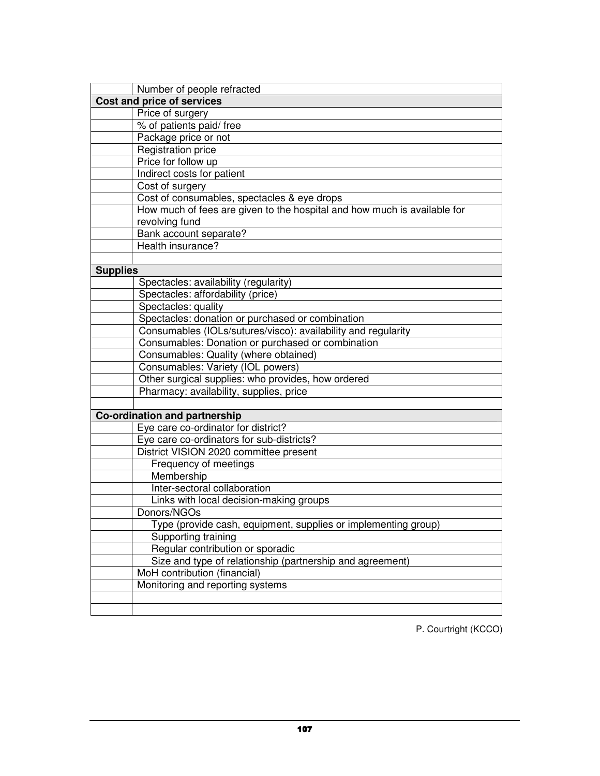|                 | Number of people refracted                                               |
|-----------------|--------------------------------------------------------------------------|
|                 | Cost and price of services                                               |
|                 | Price of surgery                                                         |
|                 | % of patients paid/free                                                  |
|                 | Package price or not                                                     |
|                 | Registration price                                                       |
|                 | Price for follow up                                                      |
|                 | Indirect costs for patient                                               |
|                 | Cost of surgery                                                          |
|                 | Cost of consumables, spectacles & eye drops                              |
|                 | How much of fees are given to the hospital and how much is available for |
|                 | revolving fund                                                           |
|                 | Bank account separate?                                                   |
|                 | Health insurance?                                                        |
|                 |                                                                          |
| <b>Supplies</b> |                                                                          |
|                 | Spectacles: availability (regularity)                                    |
|                 | Spectacles: affordability (price)                                        |
|                 | Spectacles: quality                                                      |
|                 | Spectacles: donation or purchased or combination                         |
|                 | Consumables (IOLs/sutures/visco): availability and regularity            |
|                 | Consumables: Donation or purchased or combination                        |
|                 | Consumables: Quality (where obtained)                                    |
|                 | Consumables: Variety (IOL powers)                                        |
|                 | Other surgical supplies: who provides, how ordered                       |
|                 | Pharmacy: availability, supplies, price                                  |
|                 |                                                                          |
|                 | <b>Co-ordination and partnership</b>                                     |
|                 | Eye care co-ordinator for district?                                      |
|                 | Eye care co-ordinators for sub-districts?                                |
|                 | District VISION 2020 committee present                                   |
|                 | Frequency of meetings                                                    |
|                 | Membership                                                               |
|                 | Inter-sectoral collaboration                                             |
|                 | Links with local decision-making groups                                  |
|                 | Donors/NGOs                                                              |
|                 | Type (provide cash, equipment, supplies or implementing group)           |
|                 | Supporting training                                                      |
|                 | Regular contribution or sporadic                                         |
|                 | Size and type of relationship (partnership and agreement)                |
|                 | MoH contribution (financial)                                             |
|                 | Monitoring and reporting systems                                         |
|                 |                                                                          |
|                 |                                                                          |

P. Courtright (KCCO)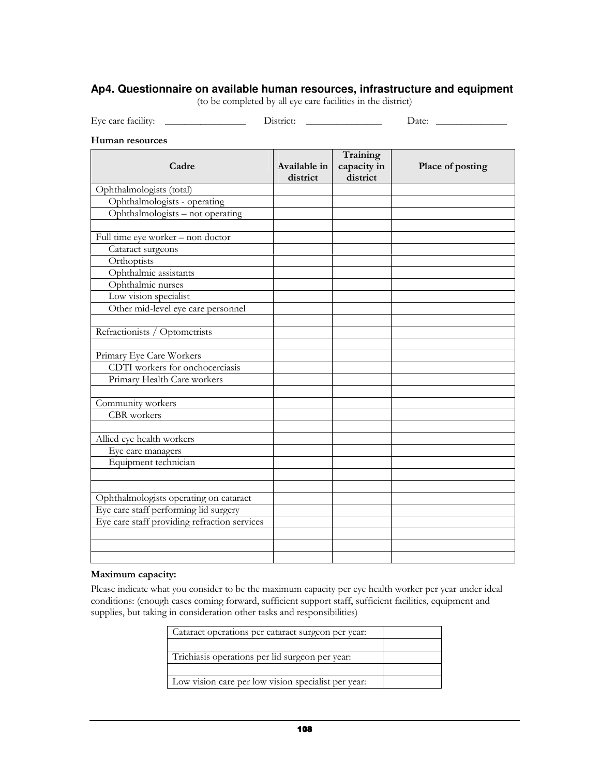### **Ap4. Questionnaire on available human resources, infrastructure and equipment**

(to be completed by all eye care facilities in the district)

Eye care facility: \_\_\_\_\_\_\_\_\_\_\_\_\_\_\_\_ District: \_\_\_\_\_\_\_\_\_\_\_\_\_\_\_ Date: \_\_\_\_\_\_\_\_\_\_\_\_\_\_

#### Human resources

| Cadre                                        | Available in | Training<br>capacity in | Place of posting |
|----------------------------------------------|--------------|-------------------------|------------------|
|                                              | district     | district                |                  |
| Ophthalmologists (total)                     |              |                         |                  |
| Ophthalmologists - operating                 |              |                         |                  |
| Ophthalmologists - not operating             |              |                         |                  |
|                                              |              |                         |                  |
| Full time eye worker - non doctor            |              |                         |                  |
| Cataract surgeons                            |              |                         |                  |
| Orthoptists                                  |              |                         |                  |
| Ophthalmic assistants                        |              |                         |                  |
| Ophthalmic nurses                            |              |                         |                  |
| Low vision specialist                        |              |                         |                  |
| Other mid-level eye care personnel           |              |                         |                  |
|                                              |              |                         |                  |
| Refractionists / Optometrists                |              |                         |                  |
|                                              |              |                         |                  |
| Primary Eye Care Workers                     |              |                         |                  |
| CDTI workers for onchocerciasis              |              |                         |                  |
| Primary Health Care workers                  |              |                         |                  |
|                                              |              |                         |                  |
| Community workers                            |              |                         |                  |
| <b>CBR</b> workers                           |              |                         |                  |
|                                              |              |                         |                  |
| Allied eye health workers                    |              |                         |                  |
| Eye care managers                            |              |                         |                  |
| Equipment technician                         |              |                         |                  |
|                                              |              |                         |                  |
|                                              |              |                         |                  |
| Ophthalmologists operating on cataract       |              |                         |                  |
| Eye care staff performing lid surgery        |              |                         |                  |
| Eye care staff providing refraction services |              |                         |                  |
|                                              |              |                         |                  |
|                                              |              |                         |                  |
|                                              |              |                         |                  |

#### Maximum capacity:

Please indicate what you consider to be the maximum capacity per eye health worker per year under ideal conditions: (enough cases coming forward, sufficient support staff, sufficient facilities, equipment and supplies, but taking in consideration other tasks and responsibilities)

| Cataract operations per cataract surgeon per year.  |  |
|-----------------------------------------------------|--|
|                                                     |  |
| Trichiasis operations per lid surgeon per year:     |  |
|                                                     |  |
| Low vision care per low vision specialist per year: |  |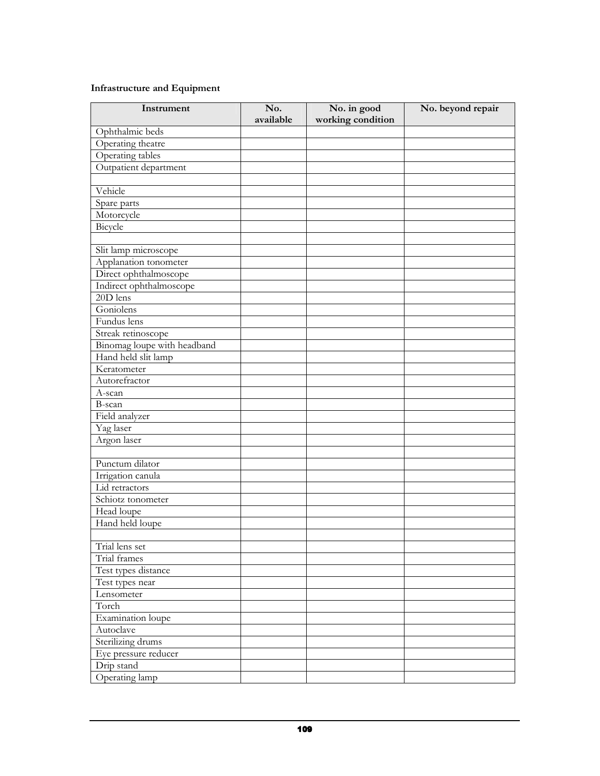## Infrastructure and Equipment

| Instrument                  | No.<br>available | No. in good<br>working condition | No. beyond repair |
|-----------------------------|------------------|----------------------------------|-------------------|
| Ophthalmic beds             |                  |                                  |                   |
| Operating theatre           |                  |                                  |                   |
| Operating tables            |                  |                                  |                   |
| Outpatient department       |                  |                                  |                   |
|                             |                  |                                  |                   |
| Vehicle                     |                  |                                  |                   |
| Spare parts                 |                  |                                  |                   |
| Motorcycle                  |                  |                                  |                   |
| Bicycle                     |                  |                                  |                   |
|                             |                  |                                  |                   |
| Slit lamp microscope        |                  |                                  |                   |
| Applanation tonometer       |                  |                                  |                   |
| Direct ophthalmoscope       |                  |                                  |                   |
| Indirect ophthalmoscope     |                  |                                  |                   |
| 20D lens                    |                  |                                  |                   |
| Goniolens                   |                  |                                  |                   |
| Fundus lens                 |                  |                                  |                   |
| Streak retinoscope          |                  |                                  |                   |
| Binomag loupe with headband |                  |                                  |                   |
| Hand held slit lamp         |                  |                                  |                   |
| Keratometer                 |                  |                                  |                   |
| Autorefractor               |                  |                                  |                   |
| $\overline{A}$ -scan        |                  |                                  |                   |
| B-scan                      |                  |                                  |                   |
| Field analyzer              |                  |                                  |                   |
| Yag laser                   |                  |                                  |                   |
| Argon laser                 |                  |                                  |                   |
|                             |                  |                                  |                   |
| Punctum dilator             |                  |                                  |                   |
| Irrigation canula           |                  |                                  |                   |
| Lid retractors              |                  |                                  |                   |
| Schiotz tonometer           |                  |                                  |                   |
| Head loupe                  |                  |                                  |                   |
| Hand held loupe             |                  |                                  |                   |
|                             |                  |                                  |                   |
| Trial lens set              |                  |                                  |                   |
| Trial frames                |                  |                                  |                   |
| Test types distance         |                  |                                  |                   |
| Test types near             |                  |                                  |                   |
| Lensometer                  |                  |                                  |                   |
| Torch                       |                  |                                  |                   |
| Examination loupe           |                  |                                  |                   |
| Autoclave                   |                  |                                  |                   |
| Sterilizing drums           |                  |                                  |                   |
| Eye pressure reducer        |                  |                                  |                   |
| Drip stand                  |                  |                                  |                   |
| Operating lamp              |                  |                                  |                   |
|                             |                  |                                  |                   |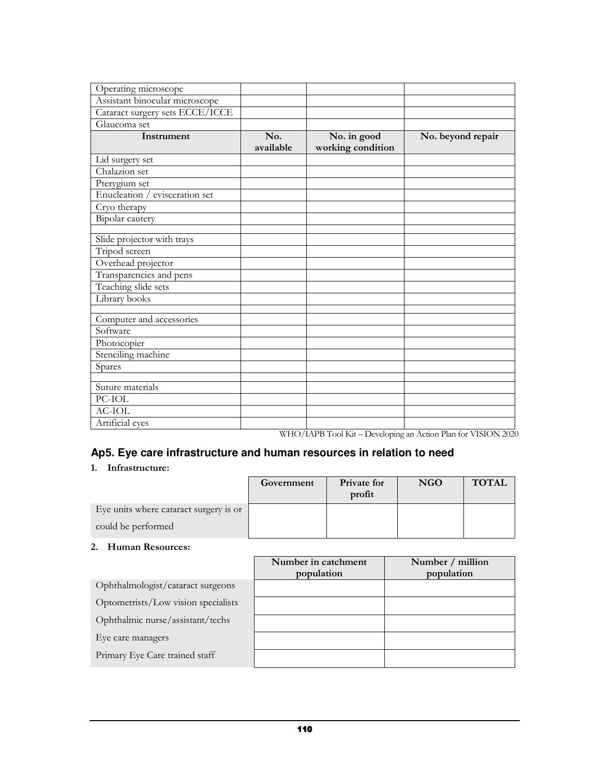| Operating microscope                |                  |                                  |                                                                                                                                              |
|-------------------------------------|------------------|----------------------------------|----------------------------------------------------------------------------------------------------------------------------------------------|
| Assistant binocular microscope      |                  |                                  |                                                                                                                                              |
| Cataract surgery sets ECCE/ICCE     |                  |                                  |                                                                                                                                              |
| Glaucoma set                        |                  |                                  |                                                                                                                                              |
| Instrument                          | No.<br>available | No. in good<br>working condition | No. beyond repair                                                                                                                            |
| Lid surgery set                     |                  |                                  |                                                                                                                                              |
| Chalazion set                       |                  |                                  |                                                                                                                                              |
| Pterygium set                       |                  |                                  |                                                                                                                                              |
| Enucleation / evisceration set      |                  |                                  |                                                                                                                                              |
| $\overline{\mathrm{C}}$ ryo therapy |                  |                                  |                                                                                                                                              |
| Bipolar cautery                     |                  |                                  |                                                                                                                                              |
|                                     |                  |                                  |                                                                                                                                              |
| Slide projector with trays          |                  |                                  |                                                                                                                                              |
| Tripod screen                       |                  |                                  |                                                                                                                                              |
| Overhead projector                  |                  |                                  |                                                                                                                                              |
| Transparencies and pens             |                  |                                  |                                                                                                                                              |
| Teaching slide sets                 |                  |                                  |                                                                                                                                              |
| Library books                       |                  |                                  |                                                                                                                                              |
| Computer and accessories            |                  |                                  |                                                                                                                                              |
| Software                            |                  |                                  |                                                                                                                                              |
| Photocopier                         |                  |                                  |                                                                                                                                              |
| Stenciling machine                  |                  |                                  |                                                                                                                                              |
| Spares                              |                  |                                  |                                                                                                                                              |
|                                     |                  |                                  |                                                                                                                                              |
| Suture materials                    |                  |                                  |                                                                                                                                              |
| PC-IOL                              |                  |                                  |                                                                                                                                              |
| <b>AC-IOL</b>                       |                  |                                  |                                                                                                                                              |
| Artificial eyes                     |                  |                                  | WILO $(1 \wedge \text{DD } T_1 \wedge 11Z_1 \wedge \text{D}_2 \wedge 1 \wedge \ldots \wedge 1 \wedge \text{D}_n \wedge 1 \wedge \text{D}_n)$ |

WHO/IAPB Tool Kit – Developing an Action Plan for VISION 2020

# **Ap5. Eye care infrastructure and human resources in relation to need**

#### 1. Infrastructure:

|                                        | Government | Private for<br>profit | <b>NGO</b> | <b>TOTAL</b> |
|----------------------------------------|------------|-----------------------|------------|--------------|
| Eye units where cataract surgery is or |            |                       |            |              |
| could be performed                     |            |                       |            |              |

#### 2. Human Resources:

|                                     | Number in catchment<br>population | Number / million<br>population |
|-------------------------------------|-----------------------------------|--------------------------------|
| Ophthalmologist/cataract surgeons   |                                   |                                |
| Optometrists/Low vision specialists |                                   |                                |
| Ophthalmic nurse/assistant/techs    |                                   |                                |
| Eye care managers                   |                                   |                                |
| Primary Eye Care trained staff      |                                   |                                |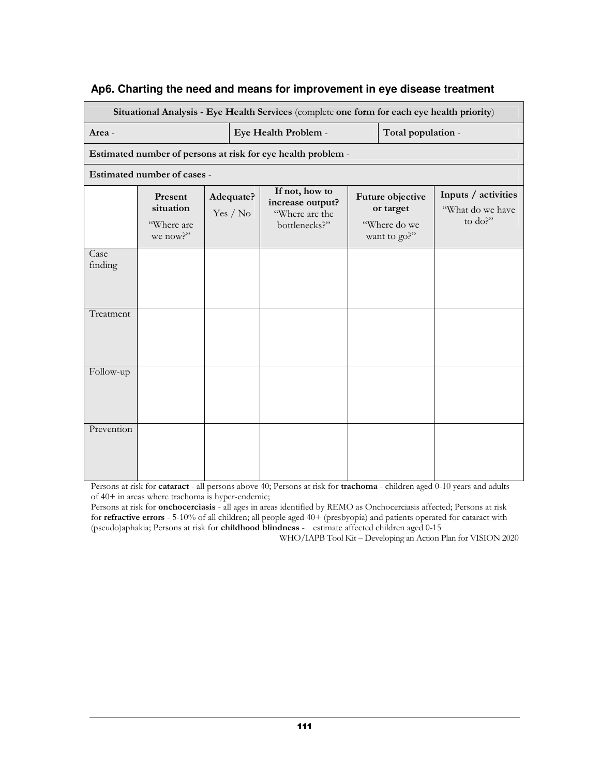| Ap6. Charting the need and means for improvement in eye disease treatment |  |
|---------------------------------------------------------------------------|--|
|---------------------------------------------------------------------------|--|

|                 |                                                |                       | Situational Analysis - Eye Health Services (complete one form for each eye health priority) |                                                               |                                                    |
|-----------------|------------------------------------------------|-----------------------|---------------------------------------------------------------------------------------------|---------------------------------------------------------------|----------------------------------------------------|
| Area -          |                                                |                       | Eye Health Problem -                                                                        | Total population -                                            |                                                    |
|                 |                                                |                       | Estimated number of persons at risk for eye health problem -                                |                                                               |                                                    |
|                 | Estimated number of cases -                    |                       |                                                                                             |                                                               |                                                    |
|                 | Present<br>situation<br>"Where are<br>we now?" | Adequate?<br>Yes / No | If not, how to<br>increase output?<br>"Where are the<br>bottlenecks?"                       | Future objective<br>or target<br>"Where do we<br>want to go?" | Inputs / activities<br>"What do we have<br>to do?" |
| Case<br>finding |                                                |                       |                                                                                             |                                                               |                                                    |
| Treatment       |                                                |                       |                                                                                             |                                                               |                                                    |
| Follow-up       |                                                |                       |                                                                                             |                                                               |                                                    |
| Prevention      |                                                |                       |                                                                                             |                                                               |                                                    |

Persons at risk for cataract - all persons above 40; Persons at risk for trachoma - children aged 0-10 years and adults of 40+ in areas where trachoma is hyper-endemic;

Persons at risk for onchocerciasis - all ages in areas identified by REMO as Onchocerciasis affected; Persons at risk for refractive errors - 5-10% of all children; all people aged 40+ (presbyopia) and patients operated for cataract with (pseudo)aphakia; Persons at risk for childhood blindness - estimate affected children aged 0-15

WHO/IAPB Tool Kit – Developing an Action Plan for VISION 2020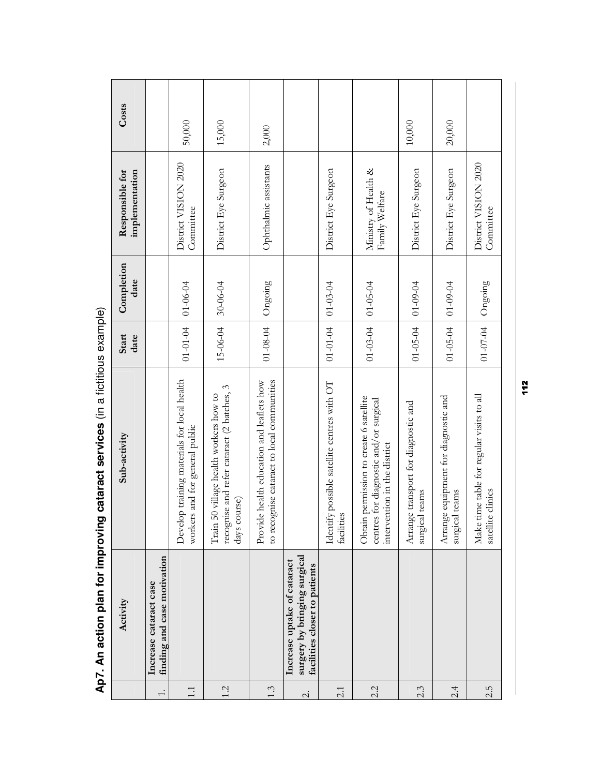|              | Activity                                                                                     | Sub-activity                                                                                                      | Start<br>date  | Completion<br>date | implementation<br>Responsible for      | Costs  |
|--------------|----------------------------------------------------------------------------------------------|-------------------------------------------------------------------------------------------------------------------|----------------|--------------------|----------------------------------------|--------|
| $\div$       | finding and case motivation<br>Increase cataract case                                        |                                                                                                                   |                |                    |                                        |        |
| 1:1          |                                                                                              | Develop training materials for local health<br>workers and for general public                                     | $01 - 01 - 04$ | 01-06-04           | District VISION 2020<br>Committee      | 50,000 |
| 1.2          |                                                                                              | recognise and refer cataract (2 batches, 3<br>50 village health workers how to<br>days course)<br>Train           | 15-06-04       | 30-06-04           | District Eye Surgeon                   | 15,000 |
| 1.3          |                                                                                              | to recognise cataract to local communities<br>Provide health education and leaflets how                           | $01 - 08 - 04$ | Ongoing            | Ophthalmic assistants                  | 2,000  |
| $\dot{\sim}$ | surgery by bringing surgical<br>Increase uptake of cataract<br>facilities closer to patients |                                                                                                                   |                |                    |                                        |        |
| 2.1          |                                                                                              | Identify possible satellite centres with OT<br><b>es</b><br>faciliti                                              | $01 - 01 - 04$ | $01 - 03 - 04$     | District Eye Surgeon                   |        |
| 2.2          |                                                                                              | Obtain permission to create 6 satellite<br>centres for diagnostic and/or surgical<br>intervention in the district | $01 - 03 - 04$ | $01 - 05 - 04$     | Ministry of Health &<br>Family Welfare |        |
| 2.3          |                                                                                              | Arrange transport for diagnostic and<br>surgical teams                                                            | $01 - 05 - 04$ | $01 - 09 - 04$     | District Eye Surgeon                   | 10,000 |
| 2.4          |                                                                                              | Arrange equipment for diagnostic and<br>surgical teams                                                            | $01 - 05 - 04$ | 01-09-04           | District Eye Surgeon                   | 20,000 |
| 2.5          |                                                                                              | Make time table for regular visits to all<br>satellite clinics                                                    | $01 - 07 - 04$ | Ongoing            | District VISION 2020<br>Committee      |        |
|              |                                                                                              |                                                                                                                   |                |                    |                                        |        |

Ap7. An action plan for improving cataract services (in a fictitious example) **Ap7. An action plan for improving cataract services** (in a fictitious example)

112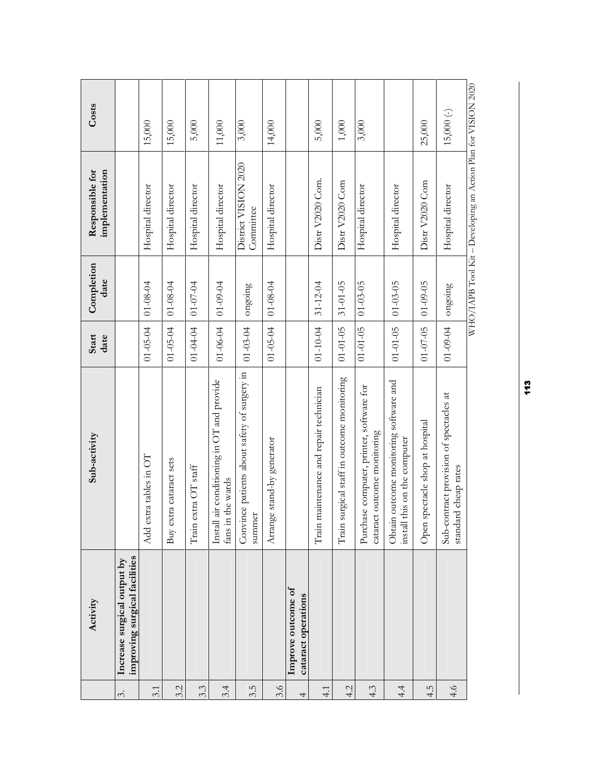|               | Activity                                                     | Sub-activity                                                                               | Start<br>date  | Completion<br>date | implementation<br>Responsible for                             | Costs       |
|---------------|--------------------------------------------------------------|--------------------------------------------------------------------------------------------|----------------|--------------------|---------------------------------------------------------------|-------------|
| δ.            | improving surgical facilities<br>Increase surgical output by |                                                                                            |                |                    |                                                               |             |
| 3.1           |                                                              | Add extra tables in OT                                                                     | $01 - 05 - 04$ | 01-08-04           | Hospital director                                             | 15,000      |
| 3.2           |                                                              | Buy extra cataract sets                                                                    | $01 - 05 - 04$ | $01 - 08 - 04$     | Hospital director                                             | 15,000      |
| 3.3           |                                                              | $extra$ OT staff<br>Train                                                                  | $01 - 04 - 04$ | $01 - 07 - 04$     | Hospital director                                             | 5,000       |
| 3.4           |                                                              | air conditioning in OT and provide<br>fans in the wards<br>Install                         | $01 - 06 - 04$ | 01-09-04           | Hospital director                                             | 11,000      |
| 3.5           |                                                              | Convince patients about safety of surgery in<br>summer                                     | $01 - 03 - 04$ | ongoing            | District VISION 2020<br>Committee                             | 3,000       |
| 3.6           |                                                              | Arrange stand-by generator                                                                 | $01 - 05 - 04$ | $01 - 08 - 04$     | Hospital director                                             | 14,000      |
| 4             | Improve outcome of<br>cataract operations                    |                                                                                            |                |                    |                                                               |             |
| $\frac{1}{4}$ |                                                              | maintenance and repair technician<br>Train                                                 | $01 - 10 - 04$ | $31 - 12 - 04$     | Distr V2020 Com.                                              | 5,000       |
| 4.2           |                                                              | surgical staff in outcome monitoring<br>Train                                              | $01 - 01 - 05$ | $31 - 01 - 05$     | Distr V2020 Com                                               | $1,000$     |
| 4.3           |                                                              | Purchase computer, printer, software for<br>cataract outcome monitoring                    | $01 - 01 - 05$ | $01 - 03 - 05$     | Hospital director                                             | 3,000       |
| 4.4           |                                                              | Obtain outcome monitoring software and<br>this on the computer<br>$\operatorname{install}$ | $01 - 01 - 05$ | $01 - 03 - 05$     | Hospital director                                             |             |
| 4.5           |                                                              | spectacle shop at hospital<br>Open                                                         | $01 - 07 - 05$ | $01 - 09 - 05$     | Distr V2020 Com                                               | 25,000      |
| 4.6           |                                                              | Sub-contract provision of spectacles at<br>standard cheap rates                            | $01 - 09 - 04$ | ongoing            | Hospital director                                             | $15,000(-)$ |
|               |                                                              |                                                                                            |                |                    | WHO/IAPB Tool Kit - Developing an Action Plan for VISION 2020 |             |

113